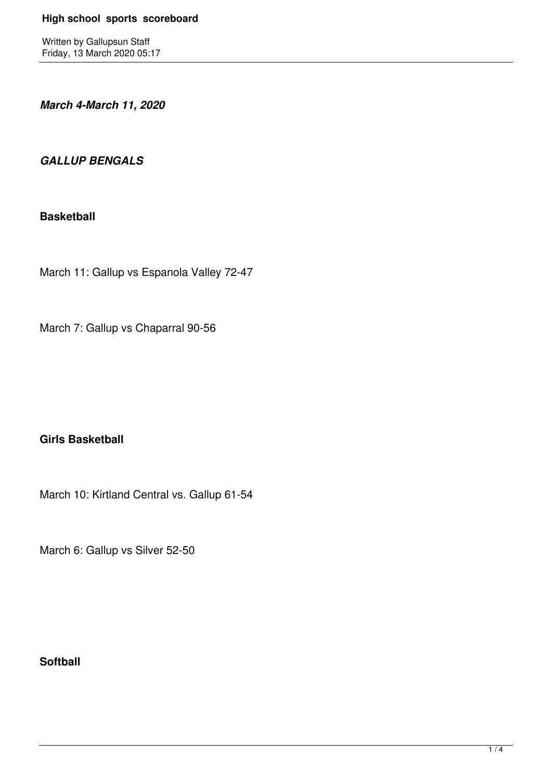Written by Gallupsun Staff Friday, 13 March 2020 05:17

*March 4-March 11, 2020*

## *GALLUP BENGALS*

#### **Basketball**

March 11: Gallup vs Espanola Valley 72-47

March 7: Gallup vs Chaparral 90-56

# **Girls Basketball**

March 10: Kirtland Central vs. Gallup 61-54

March 6: Gallup vs Silver 52-50

### **Softball**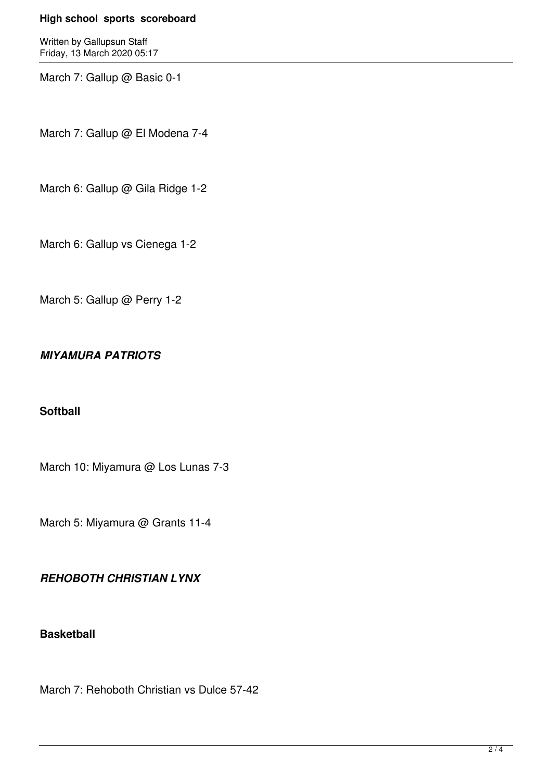#### **High school sports scoreboard**

Written by Gallupsun Staff Friday, 13 March 2020 05:17

March 7: Gallup @ Basic 0-1

March 7: Gallup @ El Modena 7-4

March 6: Gallup @ Gila Ridge 1-2

March 6: Gallup vs Cienega 1-2

March 5: Gallup @ Perry 1-2

# *MIYAMURA PATRIOTS*

### **Softball**

March 10: Miyamura @ Los Lunas 7-3

March 5: Miyamura @ Grants 11-4

### *REHOBOTH CHRISTIAN LYNX*

### **Basketball**

March 7: Rehoboth Christian vs Dulce 57-42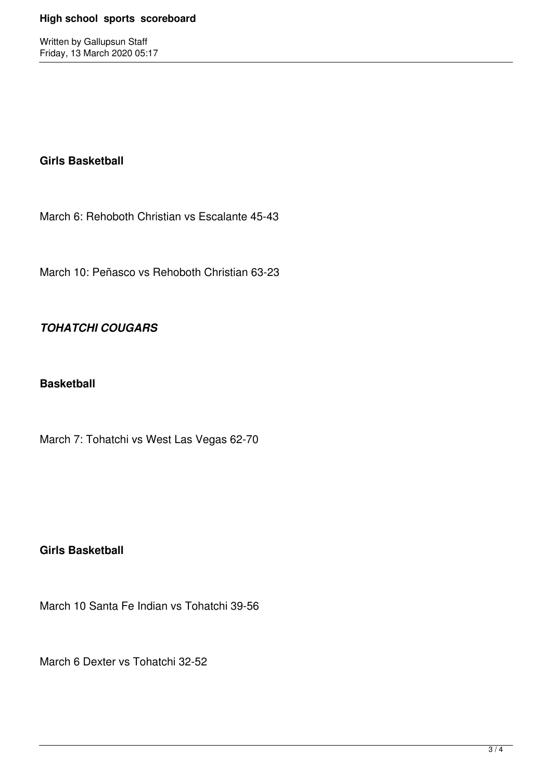Written by Gallupsun Staff Friday, 13 March 2020 05:17

#### **Girls Basketball**

March 6: Rehoboth Christian vs Escalante 45-43

March 10: Peñasco vs Rehoboth Christian 63-23

# *TOHATCHI COUGARS*

#### **Basketball**

March 7: Tohatchi vs West Las Vegas 62-70

### **Girls Basketball**

March 10 Santa Fe Indian vs Tohatchi 39-56

March 6 Dexter vs Tohatchi 32-52